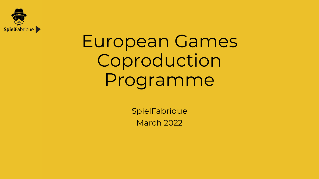

## European Games Coproduction Programme

**SpielFabrique** March 2022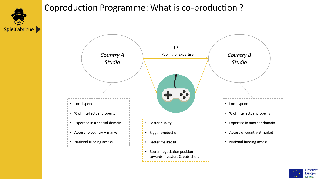

#### Coproduction Programme: What is co-production ?



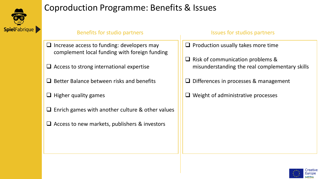

#### Coproduction Programme: Benefits & Issues

#### Benefits for studio partners **ISSUES ISSUES** for studios partners

- ❑ Increase access to funding: developers may complement local funding with foreign funding
- ❑ Access to strong international expertise
- ❑ Better Balance between risks and benefits
- $\Box$  Higher quality games
- $\Box$  Enrich games with another culture & other values
- ❑ Access to new markets, publishers & investors

- ❑ Production usually takes more time
- ❑ Risk of communication problems & misunderstanding the real complementary skills
- ❑ Differences in processes & management
- $\Box$  Weight of administrative processes

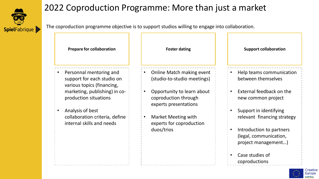

#### 2022 Coproduction Programme: More than just a market

The coproduction programme objective is to support studios willing to engage into collaboration.

| <b>Prepare for collaboration</b>                                                    | <b>Foster dating</b>                                                        | <b>Support collaboration</b>                   |
|-------------------------------------------------------------------------------------|-----------------------------------------------------------------------------|------------------------------------------------|
| Personnal mentoring and<br>support for each studio on<br>various topics (financing, | Online Match making event<br>(studio-to-studio meetings)                    | Help teams communication<br>between themselves |
| marketing, publishing) in co-<br>production situations                              | Opportunity to learn about<br>coproduction through<br>experts presentations | External feedback on the<br>new common project |
| Analysis of best                                                                    |                                                                             | Support in identifying                         |
| collaboration criteria, define<br>internal skills and needs                         | <b>Market Meeting with</b><br>experts for coproduction                      | relevant financing strategy                    |
|                                                                                     | duos/trios                                                                  | Introduction to partners                       |
|                                                                                     |                                                                             | (legal, communication,<br>project management)  |
|                                                                                     |                                                                             | Case studies of<br>coproductions               |

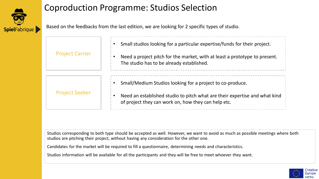

### Coproduction Programme: Studios Selection

Based on the feedbacks from the last edition, we are looking for 2 specific types of studio.

| <b>Project Carrier</b> | Small studios looking for a particular expertise/funds for their project.<br>Need a project pitch for the market, with at least a prototype to present.<br>The studio has to be already established. |
|------------------------|------------------------------------------------------------------------------------------------------------------------------------------------------------------------------------------------------|
| <b>Project Seeker</b>  | Small/Medium Studios looking for a project to co-produce.<br>Need an established studio to pitch what are their expertise and what kind<br>of project they can work on, how they can help etc.       |

Studios corresponding to both type should be accepted as well. However, we want to avoid as much as possible meetings where both studios are pitching their project, without having any consideration for the other one.

Candidates for the market will be required to fill a questionnaire, determining needs and characteristics.

Studios information will be available for all the participants and they will be free to meet whoever they want.

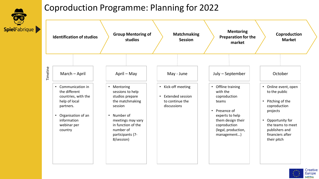

#### Coproduction Programme: Planning for 2022

| <b>Identification of studios</b>                                                                                                                                                                             | <b>Group Mentoring of</b><br>studios                                                                                                                                                                                           | <b>Matchmaking</b><br><b>Session</b>                                                                                  | <b>Mentoring</b><br><b>Preparation for the</b><br>market                                                                                                                                                         | Coproduction<br><b>Market</b>                                                                                                                                                                                                     |
|--------------------------------------------------------------------------------------------------------------------------------------------------------------------------------------------------------------|--------------------------------------------------------------------------------------------------------------------------------------------------------------------------------------------------------------------------------|-----------------------------------------------------------------------------------------------------------------------|------------------------------------------------------------------------------------------------------------------------------------------------------------------------------------------------------------------|-----------------------------------------------------------------------------------------------------------------------------------------------------------------------------------------------------------------------------------|
| Timeline<br>March - April<br>Communication in<br>$\bullet$<br>the different<br>countries, with the<br>help of local<br>partners.<br>Organisation of an<br>$\bullet$<br>information<br>webinar per<br>country | April – May<br>Mentoring<br>$\bullet$<br>sessions to help<br>studios prepare<br>the matchmaking<br>session<br>Number of<br>$\bullet$<br>meetings may vary<br>in function of the<br>number of<br>participants (7-<br>8/session) | May - June<br>Kick-off meeting<br>$\bullet$<br><b>Extended session</b><br>$\bullet$<br>to continue the<br>discussions | July - September<br>Offline training<br>$\bullet$<br>with the<br>coproduction<br>teams<br>Presence of<br>$\bullet$<br>experts to help<br>them design their<br>coproduction<br>(legal, production,<br>management) | October<br>Online event, open<br>$\bullet$<br>to the public<br>Pitching of the<br>$\bullet$<br>coproduction<br>projects<br>Opportunity for<br>$\bullet$<br>the teams to meet<br>publishers and<br>financiers after<br>their pitch |

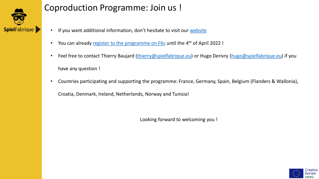

#### Coproduction Programme: Join us !

- If you want additional information, don't hesitate to visit our [website](https://spielfabrique.eu/european-games-coproduction-market/)
- You can already [register to the programme on F6s](https://www.f6s.com/european-games-coproduction-market/apply) until the 4<sup>th</sup> of April 2022 !
- Feel free to contact Thierry Baujard ([thierry@spielfabrique.eu](mailto:thierry@spielfabrique.eu)) or Hugo Derivry [\(hugo@spielfabrique.eu\)](mailto:hugo@spielfabrique.eu) if you have any question !
- Countries participating and supporting the programme: France, Germany, Spain, Belgium (Flanders & Wallonia),

Croatia, Denmark, Ireland, Netherlands, Norway and Tunisia!

Looking forward to welcoming you !